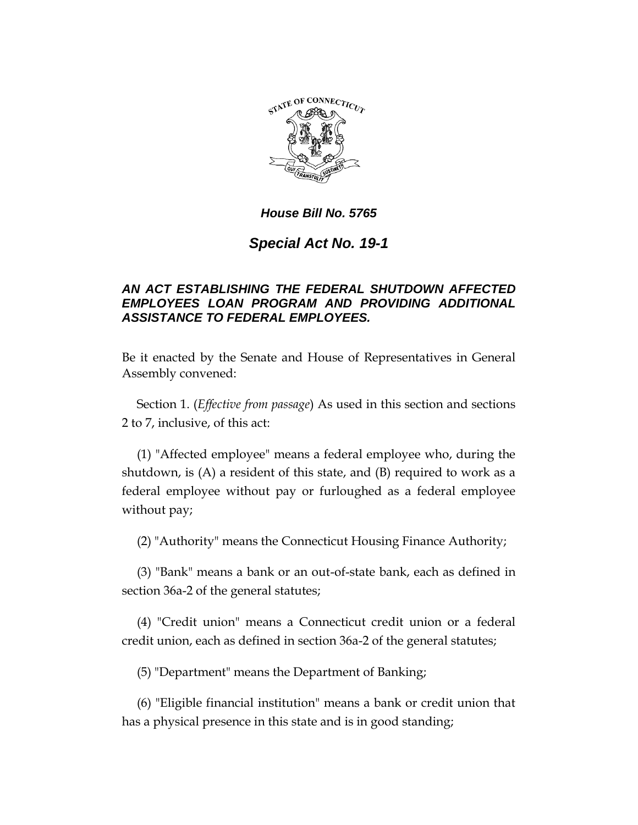

# *Special Act No. 19-1*

## *AN ACT ESTABLISHING THE FEDERAL SHUTDOWN AFFECTED EMPLOYEES LOAN PROGRAM AND PROVIDING ADDITIONAL ASSISTANCE TO FEDERAL EMPLOYEES.*

Be it enacted by the Senate and House of Representatives in General Assembly convened:

Section 1. (*Effective from passage*) As used in this section and sections 2 to 7, inclusive, of this act:

(1) "Affected employee" means a federal employee who, during the shutdown, is (A) a resident of this state, and (B) required to work as a federal employee without pay or furloughed as a federal employee without pay;

(2) "Authority" means the Connecticut Housing Finance Authority;

(3) "Bank" means a bank or an out-of-state bank, each as defined in section 36a-2 of the general statutes;

(4) "Credit union" means a Connecticut credit union or a federal credit union, each as defined in section 36a-2 of the general statutes;

(5) "Department" means the Department of Banking;

(6) "Eligible financial institution" means a bank or credit union that has a physical presence in this state and is in good standing;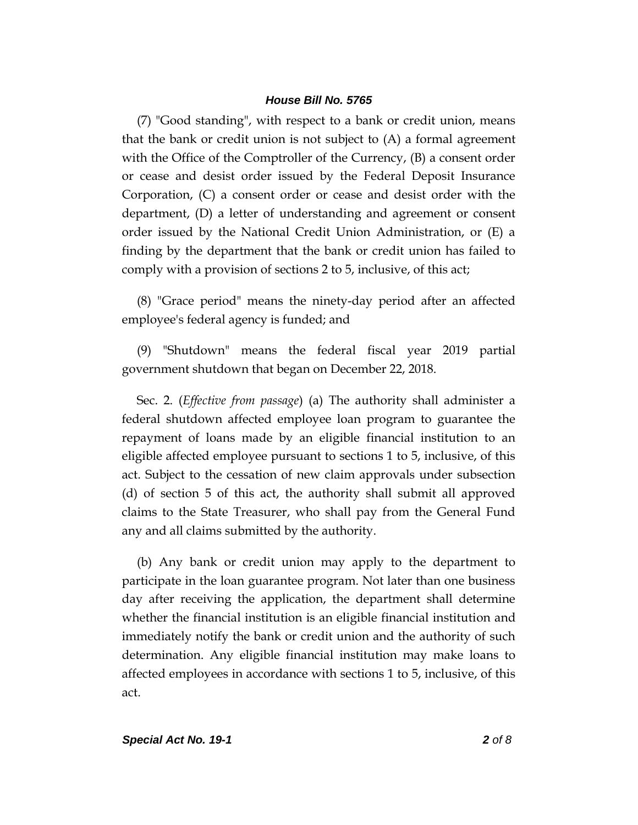(7) "Good standing", with respect to a bank or credit union, means that the bank or credit union is not subject to (A) a formal agreement with the Office of the Comptroller of the Currency, (B) a consent order or cease and desist order issued by the Federal Deposit Insurance Corporation, (C) a consent order or cease and desist order with the department, (D) a letter of understanding and agreement or consent order issued by the National Credit Union Administration, or (E) a finding by the department that the bank or credit union has failed to comply with a provision of sections 2 to 5, inclusive, of this act;

(8) "Grace period" means the ninety-day period after an affected employee's federal agency is funded; and

(9) "Shutdown" means the federal fiscal year 2019 partial government shutdown that began on December 22, 2018.

Sec. 2. (*Effective from passage*) (a) The authority shall administer a federal shutdown affected employee loan program to guarantee the repayment of loans made by an eligible financial institution to an eligible affected employee pursuant to sections 1 to 5, inclusive, of this act. Subject to the cessation of new claim approvals under subsection (d) of section 5 of this act, the authority shall submit all approved claims to the State Treasurer, who shall pay from the General Fund any and all claims submitted by the authority.

(b) Any bank or credit union may apply to the department to participate in the loan guarantee program. Not later than one business day after receiving the application, the department shall determine whether the financial institution is an eligible financial institution and immediately notify the bank or credit union and the authority of such determination. Any eligible financial institution may make loans to affected employees in accordance with sections 1 to 5, inclusive, of this act.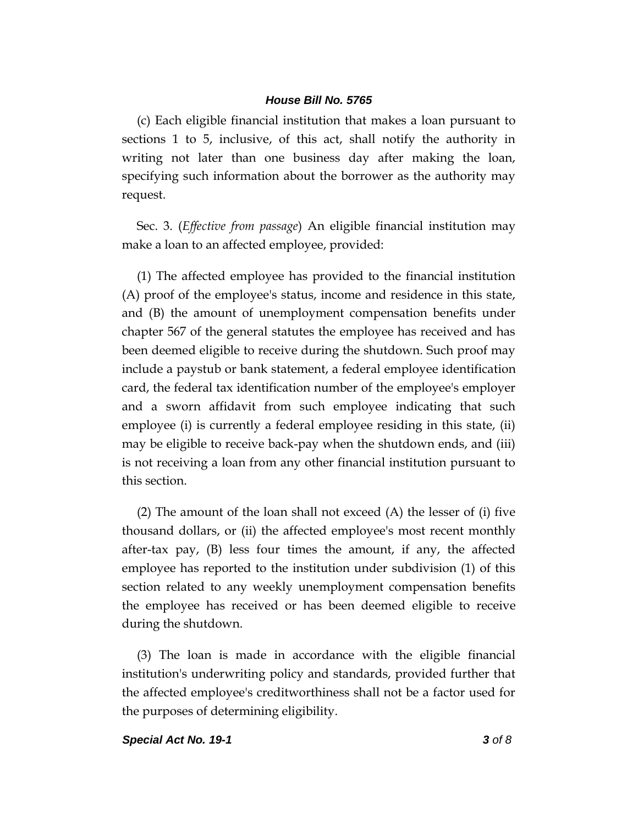(c) Each eligible financial institution that makes a loan pursuant to sections 1 to 5, inclusive, of this act, shall notify the authority in writing not later than one business day after making the loan, specifying such information about the borrower as the authority may request.

Sec. 3. (*Effective from passage*) An eligible financial institution may make a loan to an affected employee, provided:

(1) The affected employee has provided to the financial institution (A) proof of the employee's status, income and residence in this state, and (B) the amount of unemployment compensation benefits under chapter 567 of the general statutes the employee has received and has been deemed eligible to receive during the shutdown. Such proof may include a paystub or bank statement, a federal employee identification card, the federal tax identification number of the employee's employer and a sworn affidavit from such employee indicating that such employee (i) is currently a federal employee residing in this state, (ii) may be eligible to receive back-pay when the shutdown ends, and (iii) is not receiving a loan from any other financial institution pursuant to this section.

(2) The amount of the loan shall not exceed (A) the lesser of (i) five thousand dollars, or (ii) the affected employee's most recent monthly after-tax pay, (B) less four times the amount, if any, the affected employee has reported to the institution under subdivision (1) of this section related to any weekly unemployment compensation benefits the employee has received or has been deemed eligible to receive during the shutdown.

(3) The loan is made in accordance with the eligible financial institution's underwriting policy and standards, provided further that the affected employee's creditworthiness shall not be a factor used for the purposes of determining eligibility.

#### *Special Act No. 19-1 3 of 8*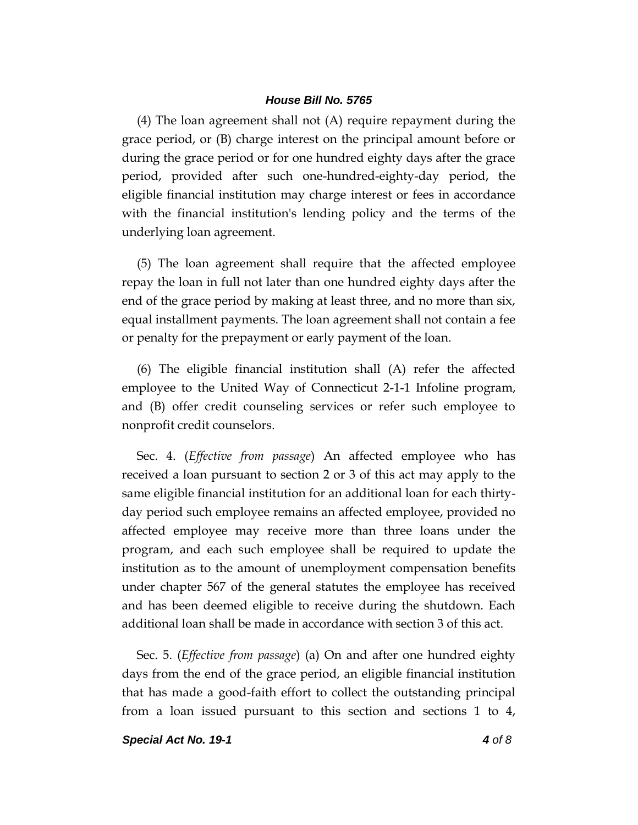(4) The loan agreement shall not (A) require repayment during the grace period, or (B) charge interest on the principal amount before or during the grace period or for one hundred eighty days after the grace period, provided after such one-hundred-eighty-day period, the eligible financial institution may charge interest or fees in accordance with the financial institution's lending policy and the terms of the underlying loan agreement.

(5) The loan agreement shall require that the affected employee repay the loan in full not later than one hundred eighty days after the end of the grace period by making at least three, and no more than six, equal installment payments. The loan agreement shall not contain a fee or penalty for the prepayment or early payment of the loan.

(6) The eligible financial institution shall (A) refer the affected employee to the United Way of Connecticut 2-1-1 Infoline program, and (B) offer credit counseling services or refer such employee to nonprofit credit counselors.

Sec. 4. (*Effective from passage*) An affected employee who has received a loan pursuant to section 2 or 3 of this act may apply to the same eligible financial institution for an additional loan for each thirtyday period such employee remains an affected employee, provided no affected employee may receive more than three loans under the program, and each such employee shall be required to update the institution as to the amount of unemployment compensation benefits under chapter 567 of the general statutes the employee has received and has been deemed eligible to receive during the shutdown. Each additional loan shall be made in accordance with section 3 of this act.

Sec. 5. (*Effective from passage*) (a) On and after one hundred eighty days from the end of the grace period, an eligible financial institution that has made a good-faith effort to collect the outstanding principal from a loan issued pursuant to this section and sections 1 to 4,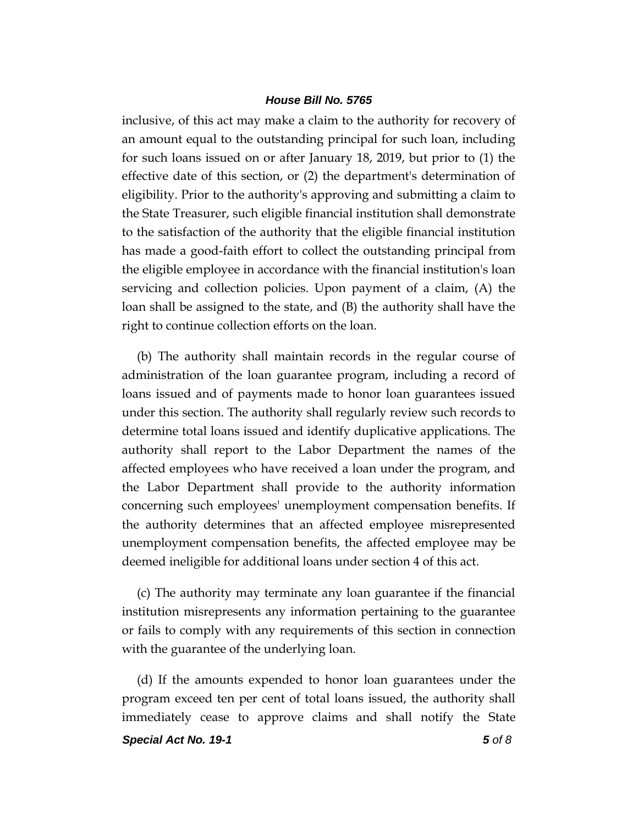inclusive, of this act may make a claim to the authority for recovery of an amount equal to the outstanding principal for such loan, including for such loans issued on or after January 18, 2019, but prior to (1) the effective date of this section, or (2) the department's determination of eligibility. Prior to the authority's approving and submitting a claim to the State Treasurer, such eligible financial institution shall demonstrate to the satisfaction of the authority that the eligible financial institution has made a good-faith effort to collect the outstanding principal from the eligible employee in accordance with the financial institution's loan servicing and collection policies. Upon payment of a claim, (A) the loan shall be assigned to the state, and (B) the authority shall have the right to continue collection efforts on the loan.

(b) The authority shall maintain records in the regular course of administration of the loan guarantee program, including a record of loans issued and of payments made to honor loan guarantees issued under this section. The authority shall regularly review such records to determine total loans issued and identify duplicative applications. The authority shall report to the Labor Department the names of the affected employees who have received a loan under the program, and the Labor Department shall provide to the authority information concerning such employees' unemployment compensation benefits. If the authority determines that an affected employee misrepresented unemployment compensation benefits, the affected employee may be deemed ineligible for additional loans under section 4 of this act.

(c) The authority may terminate any loan guarantee if the financial institution misrepresents any information pertaining to the guarantee or fails to comply with any requirements of this section in connection with the guarantee of the underlying loan.

(d) If the amounts expended to honor loan guarantees under the program exceed ten per cent of total loans issued, the authority shall immediately cease to approve claims and shall notify the State

*Special Act No. 19-1 5 of 8*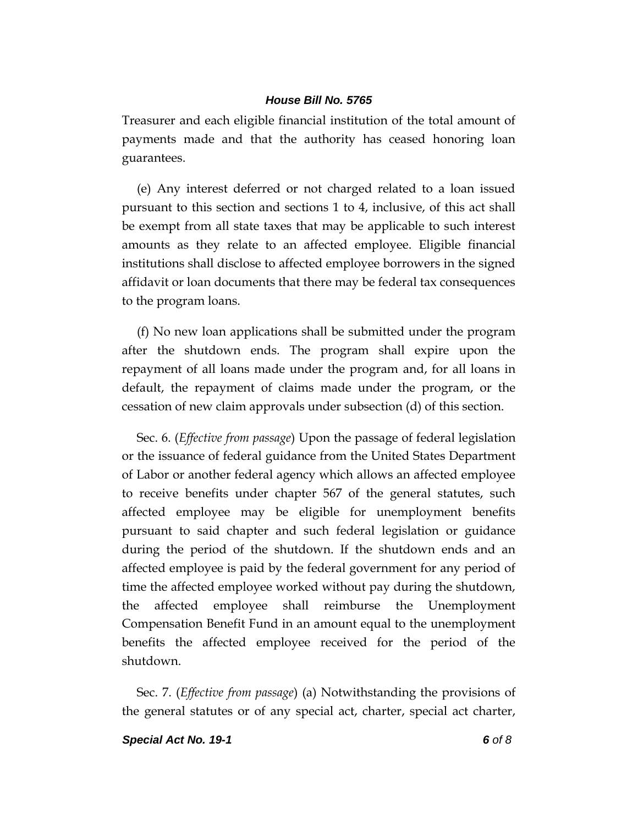Treasurer and each eligible financial institution of the total amount of payments made and that the authority has ceased honoring loan guarantees.

(e) Any interest deferred or not charged related to a loan issued pursuant to this section and sections 1 to 4, inclusive, of this act shall be exempt from all state taxes that may be applicable to such interest amounts as they relate to an affected employee. Eligible financial institutions shall disclose to affected employee borrowers in the signed affidavit or loan documents that there may be federal tax consequences to the program loans.

(f) No new loan applications shall be submitted under the program after the shutdown ends. The program shall expire upon the repayment of all loans made under the program and, for all loans in default, the repayment of claims made under the program, or the cessation of new claim approvals under subsection (d) of this section.

Sec. 6. (*Effective from passage*) Upon the passage of federal legislation or the issuance of federal guidance from the United States Department of Labor or another federal agency which allows an affected employee to receive benefits under chapter 567 of the general statutes, such affected employee may be eligible for unemployment benefits pursuant to said chapter and such federal legislation or guidance during the period of the shutdown. If the shutdown ends and an affected employee is paid by the federal government for any period of time the affected employee worked without pay during the shutdown, the affected employee shall reimburse the Unemployment Compensation Benefit Fund in an amount equal to the unemployment benefits the affected employee received for the period of the shutdown.

Sec. 7. (*Effective from passage*) (a) Notwithstanding the provisions of the general statutes or of any special act, charter, special act charter,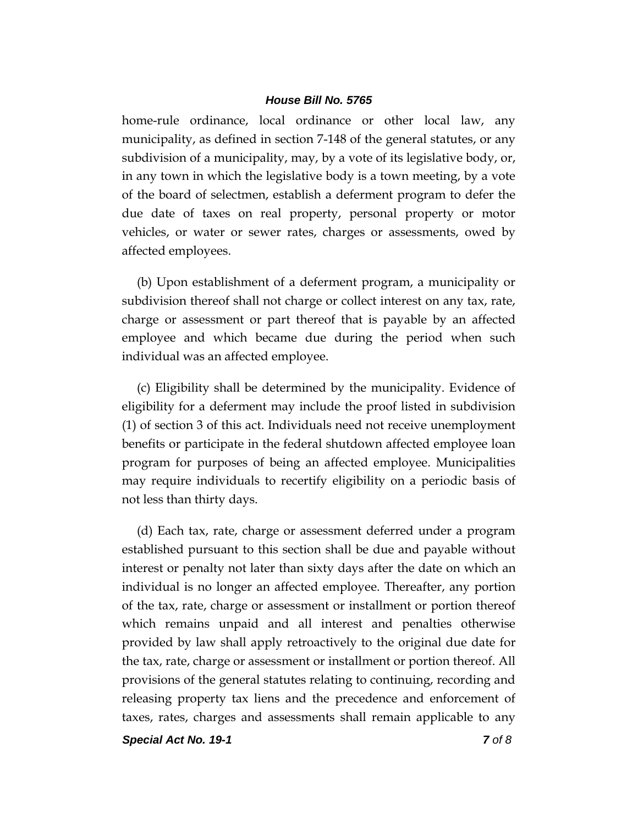home-rule ordinance, local ordinance or other local law, any municipality, as defined in section 7-148 of the general statutes, or any subdivision of a municipality, may, by a vote of its legislative body, or, in any town in which the legislative body is a town meeting, by a vote of the board of selectmen, establish a deferment program to defer the due date of taxes on real property, personal property or motor vehicles, or water or sewer rates, charges or assessments, owed by affected employees.

(b) Upon establishment of a deferment program, a municipality or subdivision thereof shall not charge or collect interest on any tax, rate, charge or assessment or part thereof that is payable by an affected employee and which became due during the period when such individual was an affected employee.

(c) Eligibility shall be determined by the municipality. Evidence of eligibility for a deferment may include the proof listed in subdivision (1) of section 3 of this act. Individuals need not receive unemployment benefits or participate in the federal shutdown affected employee loan program for purposes of being an affected employee. Municipalities may require individuals to recertify eligibility on a periodic basis of not less than thirty days.

(d) Each tax, rate, charge or assessment deferred under a program established pursuant to this section shall be due and payable without interest or penalty not later than sixty days after the date on which an individual is no longer an affected employee. Thereafter, any portion of the tax, rate, charge or assessment or installment or portion thereof which remains unpaid and all interest and penalties otherwise provided by law shall apply retroactively to the original due date for the tax, rate, charge or assessment or installment or portion thereof. All provisions of the general statutes relating to continuing, recording and releasing property tax liens and the precedence and enforcement of taxes, rates, charges and assessments shall remain applicable to any

*Special Act No. 19-1 7 of 8*